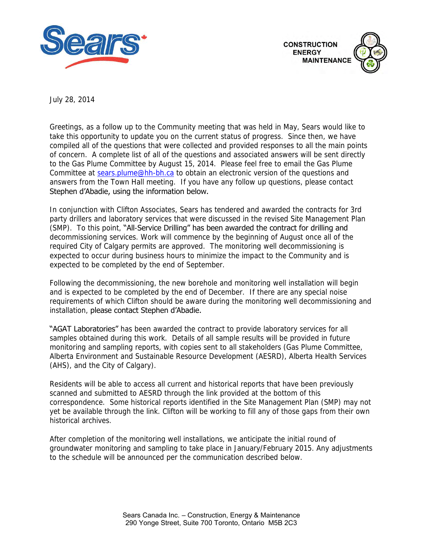



July 28, 2014

Greetings, as a follow up to the Community meeting that was held in May, Sears would like to take this opportunity to update you on the current status of progress. Since then, we have compiled all of the questions that were collected and provided responses to all the main points of concern. A complete list of all of the questions and associated answers will be sent directly to the Gas Plume Committee by August 15, 2014. Please feel free to email the Gas Plume Committee at [sears.plume@hh-bh.ca](mailto:sears.plume@hh-bh.ca) to obtain an electronic version of the questions and answers from the Town Hall meeting. If you have any follow up questions, please contact Stephen d'Abadie, using the information below.

In conjunction with Clifton Associates, Sears has tendered and awarded the contracts for 3rd party drillers and laboratory services that were discussed in the revised Site Management Plan (SMP). To this point, "All-Service Drilling" has been awarded the contract for drilling and decommissioning services. Work will commence by the beginning of August once all of the required City of Calgary permits are approved. The monitoring well decommissioning is expected to occur during business hours to minimize the impact to the Community and is expected to be completed by the end of September.

Following the decommissioning, the new borehole and monitoring well installation will begin and is expected to be completed by the end of December. If there are any special noise requirements of which Clifton should be aware during the monitoring well decommissioning and installation, please contact Stephen d'Abadie.

"AGAT Laboratories" has been awarded the contract to provide laboratory services for all samples obtained during this work. Details of all sample results will be provided in future monitoring and sampling reports, with copies sent to all stakeholders (Gas Plume Committee, Alberta Environment and Sustainable Resource Development (AESRD), Alberta Health Services (AHS), and the City of Calgary).

Residents will be able to access all current and historical reports that have been previously scanned and submitted to AESRD through the link provided at the bottom of this correspondence. Some historical reports identified in the Site Management Plan (SMP) may not yet be available through the link. Clifton will be working to fill any of those gaps from their own historical archives.

After completion of the monitoring well installations, we anticipate the initial round of groundwater monitoring and sampling to take place in January/February 2015. Any adjustments to the schedule will be announced per the communication described below.